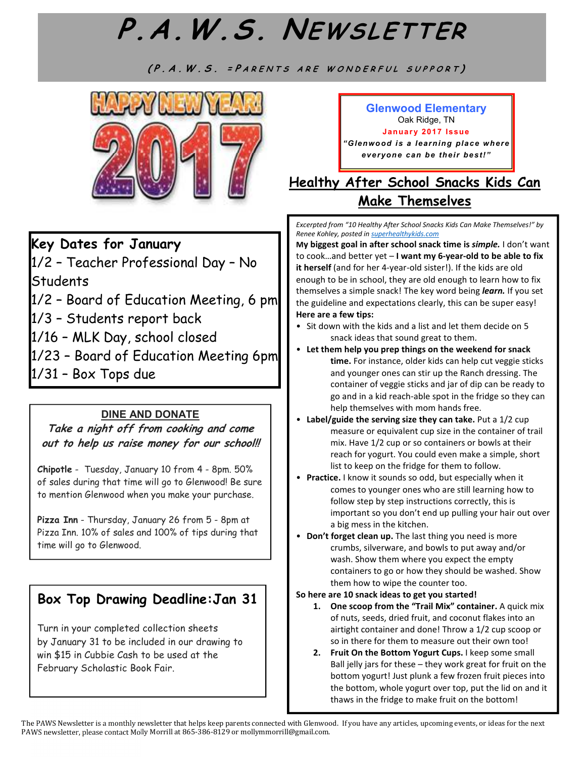# P.A.W.S. Newsletter Page 2 **P.A.W.S. NEWS LETTER**

(P.A.W.S. = PARENTS ARE WONDERFUL SUPPORT)



## **Key Dates for January**

1/2 – Teacher Professional Day – No **Students** 

 $1/2$  – Board of Education Meeting, 6 pm

1/3 – Students report back

1/16 – MLK Day, school closed

1/23 – Board of Education Meeting 6pm

1/31 – Box Tops due

### **DINE AND DONATE**

**Take a night off from cooking and come out to help us raise money for our school!!** 

**Chipotle** - Tuesday, January 10 from 4 - 8pm. 50% of sales during that time will go to Glenwood! Be sure to mention Glenwood when you make your purchase.

**Pizza Inn** - Thursday, January 26 from 5 - 8pm at Pizza Inn. 10% of sales and 100% of tips during that time will go to Glenwood.

## **Box Top Drawing Deadline:Jan 31**

Turn in your completed collection sheets by January 31 to be included in our drawing to win \$15 in Cubbie Cash to be used at the February Scholastic Book Fair.

#### **Glenwood Elementary**  Oak Ridge, TN

**January 2017 Issue** *"Glenwood is a learning place where*  **everyone can be their best!"** 

## **Healthy After School Snacks Kids Can Make Themselves**

*Excerpted from "10 Healthy After School Snacks Kids Can Make Themselves!" by Renee Kohley, posted in superhealthykids.com* 

**My biggest goal in after school snack time is** *simple.* I don't want to cook…and better yet – **I want my 6-year-old to be able to fix it herself** (and for her 4-year-old sister!). If the kids are old enough to be in school, they are old enough to learn how to fix themselves a simple snack! The key word being *learn.* If you set the guideline and expectations clearly, this can be super easy! **Here are a few tips:** 

- Sit down with the kids and a list and let them decide on 5 snack ideas that sound great to them.
- **Let them help you prep things on the weekend for snack time.** For instance, older kids can help cut veggie sticks and younger ones can stir up the Ranch dressing. The container of veggie sticks and jar of dip can be ready to go and in a kid reach-able spot in the fridge so they can help themselves with mom hands free.
- **Label/guide the serving size they can take.** Put a 1/2 cup measure or equivalent cup size in the container of trail mix. Have 1/2 cup or so containers or bowls at their reach for yogurt. You could even make a simple, short list to keep on the fridge for them to follow.
- **Practice.** I know it sounds so odd, but especially when it comes to younger ones who are still learning how to follow step by step instructions correctly, this is important so you don't end up pulling your hair out over a big mess in the kitchen.
- **Don't forget clean up.** The last thing you need is more crumbs, silverware, and bowls to put away and/or wash. Show them where you expect the empty containers to go or how they should be washed. Show them how to wipe the counter too.

#### **So here are 10 snack ideas to get you started!**

- **1. One scoop from the "Trail Mix" container.** A quick mix of nuts, seeds, dried fruit, and coconut flakes into an airtight container and done! Throw a 1/2 cup scoop or so in there for them to measure out their own too!
- **2. Fruit On the Bottom Yogurt Cups.** I keep some small Ball jelly jars for these – they work great for fruit on the bottom yogurt! Just plunk a few frozen fruit pieces into the bottom, whole yogurt over top, put the lid on and it thaws in the fridge to make fruit on the bottom!

The PAWS Newsletter is a monthly newsletter that helps keep parents connected with Glenwood. If you have any articles, upcoming events, or ideas for the next PAWS newsletter, please contact Molly Morrill at 865-386-8129 or mollymmorrill@gmail.com.